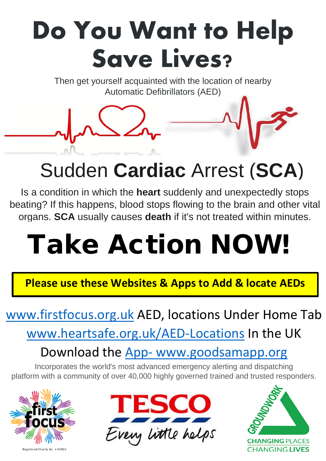## **Do You Want to Help Save Lives?**

Then get yourself acquainted with the location of nearby Automatic Defibrillators (AED)

### Sudden **Cardiac** Arrest (**SCA**)

Is a condition in which the **heart** suddenly and unexpectedly stops beating? If this happens, blood stops flowing to the brain and other vital organs. **SCA** usually causes **death** if it's not treated within minutes.

# Take Action NOW!

 **Please use these Websites & Apps to Add & locate AEDs**

### [www.firstfocus.org.uk](http://www.firstfocus.org.uk/) AED, locations Under Home Tab

[www.heartsafe.org.uk/AED-Locations](http://www.heartsafe.org.uk/AED-Locations) In the UK

Download the App- [www.goodsamapp.org](http://www.goodsamapp.org/)

Incorporates the world's most advanced emergency alerting and dispatching platform with a community of over 40,000 highly governed trained and trusted responders.







Registered Charity No: 11065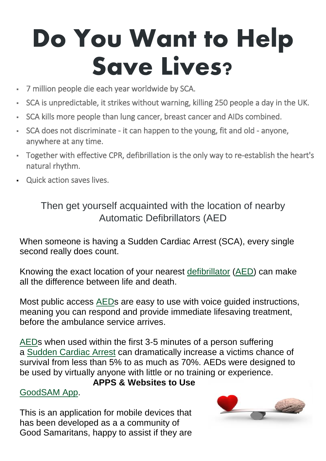## **Do You Want to Help Save Lives?**

- 7 million people die each year worldwide by SCA.
- SCA is unpredictable, it strikes without warning, killing 250 people a day in the UK.
- SCA kills more people than lung cancer, breast cancer and AIDs combined.
- SCA does not discriminate it can happen to the young, fit and old anyone, anywhere at any time.
- Together with effective CPR, defibrillation is the only way to re-establish the heart's natural rhythm.
- Quick action saves lives.

Then get yourself acquainted with the location of nearby Automatic Defibrillators (AED

When someone is having a Sudden Cardiac Arrest (SCA), every single second really does count.

Knowing the exact location of your nearest [defibrillator](https://www.spservices.co.uk/item/Life-Point_Life-PointPlusAED-SemiAutomatic_137_102_5780_1.html) [\(AED\)](https://www.spservices.co.uk/item/Life-Point_Life-PointPlusAED-SemiAutomatic_137_102_5780_1.html) can make all the difference between life and death

Most public access [AEDs](https://www.spservices.co.uk/item/Life-Point_Life-PointPlusAED-SemiAutomatic_137_102_5780_1.html) are easy to use with voice guided instructions, meaning you can respond and provide immediate lifesaving treatment, before the ambulance service arrives.

[AEDs](https://www.spservices.co.uk/shop/search.php?search=AED&x=0&y=0) when used within the first 3-5 minutes of a person suffering a Sudden [Cardiac](https://www.spservices.co.uk/shop/search.php?search=AED&x=0&y=0) Arrest can dramatically increase a victims chance of survival from less than 5% to as much as 70%. AEDs were designed to be used by virtually anyone with little or no training or experience.

#### **APPS & Websites to Use**

#### [GoodSAM](https://www.goodsamapp.org/) App.

This is an application for mobile devices that has been developed as a a community of Good Samaritans, happy to assist if they are

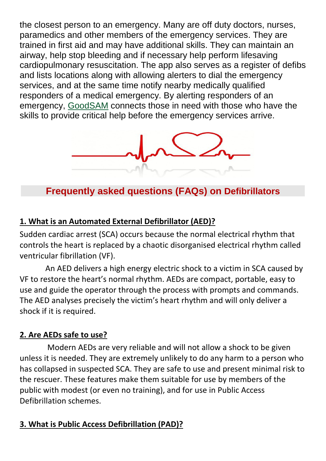the closest person to an emergency. Many are off duty doctors, nurses, paramedics and other members of the emergency services. They are trained in first aid and may have additional skills. They can maintain an airway, help stop bleeding and if necessary help perform lifesaving cardiopulmonary resuscitation. The app also serves as a register of defibs and lists locations along with allowing alerters to dial the emergency services, and at the same time notify nearby medically qualified responders of a medical emergency. By alerting responders of an emergency, [GoodSAM](https://www.goodsamapp.org/) connects those in need with those who have the skills to provide critical help before the emergency services arrive.



**Frequently asked questions (FAQs) on Defibrillators**

#### **1. What is an Automated External Defibrillator (AED)?**

Sudden cardiac arrest (SCA) occurs because the normal electrical rhythm that controls the heart is replaced by a chaotic disorganised electrical rhythm called ventricular fibrillation (VF).

 An AED delivers a high energy electric shock to a victim in SCA caused by VF to restore the heart's normal rhythm. AEDs are compact, portable, easy to use and guide the operator through the process with prompts and commands. The AED analyses precisely the victim's heart rhythm and will only deliver a shock if it is required.

#### **2. Are AEDs safe to use?**

 Modern AEDs are very reliable and will not allow a shock to be given unless it is needed. They are extremely unlikely to do any harm to a person who has collapsed in suspected SCA. They are safe to use and present minimal risk to the rescuer. These features make them suitable for use by members of the public with modest (or even no training), and for use in Public Access Defibrillation schemes.

#### **3. What is Public Access Defibrillation (PAD)?**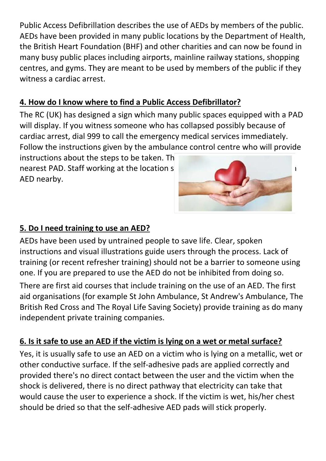Public Access Defibrillation describes the use of AEDs by members of the public. AEDs have been provided in many public locations by the Department of Health, the British Heart Foundation (BHF) and other charities and can now be found in many busy public places including airports, mainline railway stations, shopping centres, and gyms. They are meant to be used by members of the public if they witness a cardiac arrest.

#### **4. How do I know where to find a Public Access Defibrillator?**

The RC (UK) has designed a sign which many public spaces equipped with a PAD will display. If you witness someone who has collapsed possibly because of cardiac arrest, dial 999 to call the emergency medical services immediately. Follow the instructions given by the ambulance control centre who will provide

instructions about the steps to be taken. The nearest PAD. Staff working at the location should also know the location of an analysis of an analysis of an an AED nearby.



#### **5. Do I need training to use an AED?**

AEDs have been used by untrained people to save life. Clear, spoken instructions and visual illustrations guide users through the process. Lack of training (or recent refresher training) should not be a barrier to someone using one. If you are prepared to use the AED do not be inhibited from doing so.

There are first aid courses that include training on the use of an AED. The first aid organisations (for example St John Ambulance, St Andrew's Ambulance, The British Red Cross and The Royal Life Saving Society) provide training as do many independent private training companies.

#### **6. Is it safe to use an AED if the victim is lying on a wet or metal surface?**

Yes, it is usually safe to use an AED on a victim who is lying on a metallic, wet or other conductive surface. If the self-adhesive pads are applied correctly and provided there's no direct contact between the user and the victim when the shock is delivered, there is no direct pathway that electricity can take that would cause the user to experience a shock. If the victim is wet, his/her chest should be dried so that the self-adhesive AED pads will stick properly.